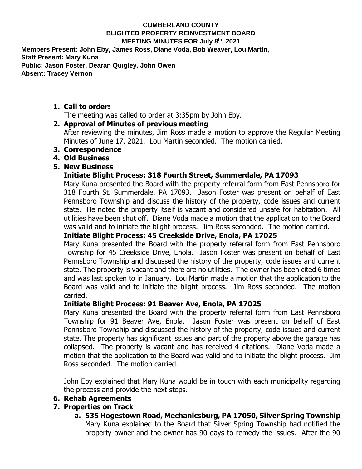#### **CUMBERLAND COUNTY BLIGHTED PROPERTY REINVESTMENT BOARD MEETING MINUTES FOR July 8th , 2021**

**Members Present: John Eby, James Ross, Diane Voda, Bob Weaver, Lou Martin, Staff Present: Mary Kuna Public: Jason Foster, Dearan Quigley, John Owen Absent: Tracey Vernon**

**1. Call to order:**

The meeting was called to order at 3:35pm by John Eby.

### **2. Approval of Minutes of previous meeting**

After reviewing the minutes, Jim Ross made a motion to approve the Regular Meeting Minutes of June 17, 2021. Lou Martin seconded. The motion carried.

- **3. Correspondence**
- **4. Old Business**
- **5. New Business**

### **Initiate Blight Process: 318 Fourth Street, Summerdale, PA 17093**

Mary Kuna presented the Board with the property referral form from East Pennsboro for 318 Fourth St. Summerdale, PA 17093. Jason Foster was present on behalf of East Pennsboro Township and discuss the history of the property, code issues and current state. He noted the property itself is vacant and considered unsafe for habitation. All utilities have been shut off. Diane Voda made a motion that the application to the Board was valid and to initiate the blight process. Jim Ross seconded. The motion carried.

# **Initiate Blight Process: 45 Creekside Drive, Enola, PA 17025**

Mary Kuna presented the Board with the property referral form from East Pennsboro Township for 45 Creekside Drive, Enola. Jason Foster was present on behalf of East Pennsboro Township and discussed the history of the property, code issues and current state. The property is vacant and there are no utilities. The owner has been cited 6 times and was last spoken to in January. Lou Martin made a motion that the application to the Board was valid and to initiate the blight process. Jim Ross seconded. The motion carried.

#### **Initiate Blight Process: 91 Beaver Ave, Enola, PA 17025**

Mary Kuna presented the Board with the property referral form from East Pennsboro Township for 91 Beaver Ave, Enola. Jason Foster was present on behalf of East Pennsboro Township and discussed the history of the property, code issues and current state. The property has significant issues and part of the property above the garage has collapsed. The property is vacant and has received 4 citations. Diane Voda made a motion that the application to the Board was valid and to initiate the blight process. Jim Ross seconded. The motion carried.

John Eby explained that Mary Kuna would be in touch with each municipality regarding the process and provide the next steps.

## **6. Rehab Agreements**

## **7. Properties on Track**

**a. 535 Hogestown Road, Mechanicsburg, PA 17050, Silver Spring Township** Mary Kuna explained to the Board that Silver Spring Township had notified the property owner and the owner has 90 days to remedy the issues. After the 90